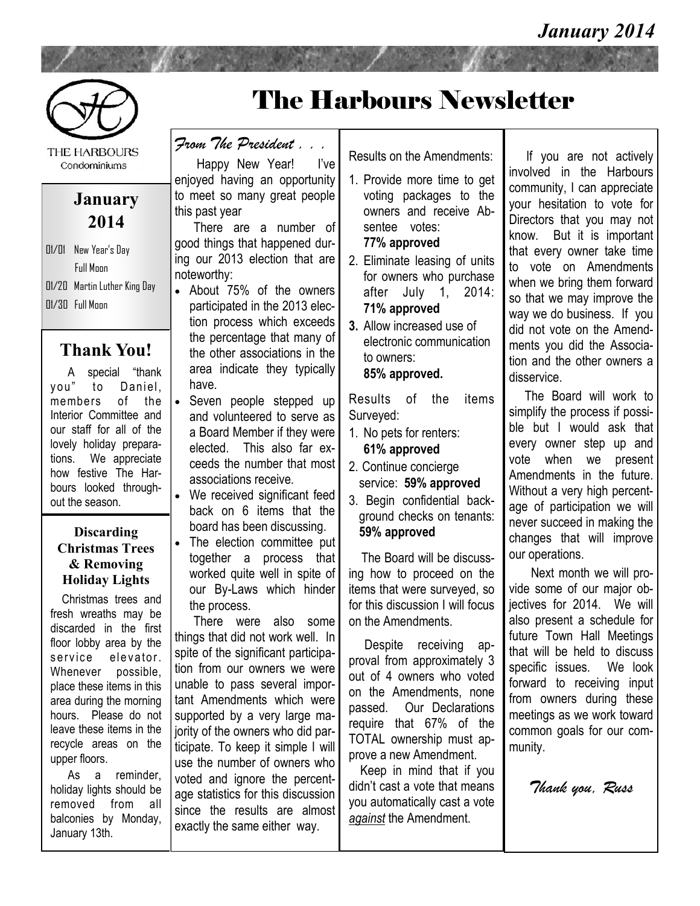

THE HARBOURS Condominiums

#### **January 2014**

01/01 New Year's Day Full Moon 01/20 Martin Luther King Day  $\overline{01/30}$  Full Moon

#### **Thank You!**

 A special "thank you" to Daniel, members of the Interior Committee and our staff for all of the lovely holiday preparations. We appreciate how festive The Harbours looked throughout the season.

#### **Discarding Christmas Trees & Removing Holiday Lights**

 Christmas trees and fresh wreaths may be discarded in the first floor lobby area by the service elevator. Whenever possible, place these items in this area during the morning hours. Please do not leave these items in the recycle areas on the upper floors.

 As a reminder, holiday lights should be removed from all balconies by Monday, January 13th.

# The Harbours Newsletter

*From The President . . .* 

 Happy New Year! I've enjoyed having an opportunity to meet so many great people this past year

 There are a number of good things that happened during our 2013 election that are noteworthy:

- About 75% of the owners participated in the 2013 election process which exceeds the percentage that many of the other associations in the area indicate they typically have.
- Seven people stepped up and volunteered to serve as a Board Member if they were elected. This also far exceeds the number that most associations receive.
- We received significant feed back on 6 items that the board has been discussing.
- The election committee put together a process that worked quite well in spite of our By-Laws which hinder the process.

 There were also some things that did not work well. In spite of the significant participation from our owners we were unable to pass several important Amendments which were supported by a very large majority of the owners who did participate. To keep it simple I will use the number of owners who voted and ignore the percentage statistics for this discussion since the results are almost exactly the same either way.

Results on the Amendments:

- 1. Provide more time to get voting packages to the owners and receive Absentee votes:
	- **77% approved**
- 2. Eliminate leasing of units for owners who purchase after July 1, 2014: **71% approved**
- **3.** Allow increased use of electronic communication to owners:

**85% approved.**

Results of the items Surveyed:

- 1. No pets for renters: **61% approved**
- 2. Continue concierge service: **59% approved**
- 3. Begin confidential background checks on tenants: **59% approved**

 The Board will be discussing how to proceed on the items that were surveyed, so for this discussion I will focus on the Amendments.

 Despite receiving approval from approximately 3 out of 4 owners who voted on the Amendments, none passed. Our Declarations require that 67% of the TOTAL ownership must approve a new Amendment.

 Keep in mind that if you didn't cast a vote that means you automatically cast a vote *against* the Amendment.

 If you are not actively involved in the Harbours community, I can appreciate your hesitation to vote for Directors that you may not know. But it is important that every owner take time to vote on Amendments when we bring them forward so that we may improve the way we do business. If you did not vote on the Amendments you did the Association and the other owners a disservice.

 The Board will work to simplify the process if possible but I would ask that every owner step up and vote when we present Amendments in the future. Without a very high percentage of participation we will never succeed in making the changes that will improve our operations.

 Next month we will provide some of our major obiectives for 2014. We will also present a schedule for future Town Hall Meetings that will be held to discuss specific issues. We look forward to receiving input from owners during these meetings as we work toward common goals for our community.

*Thank you, Russ*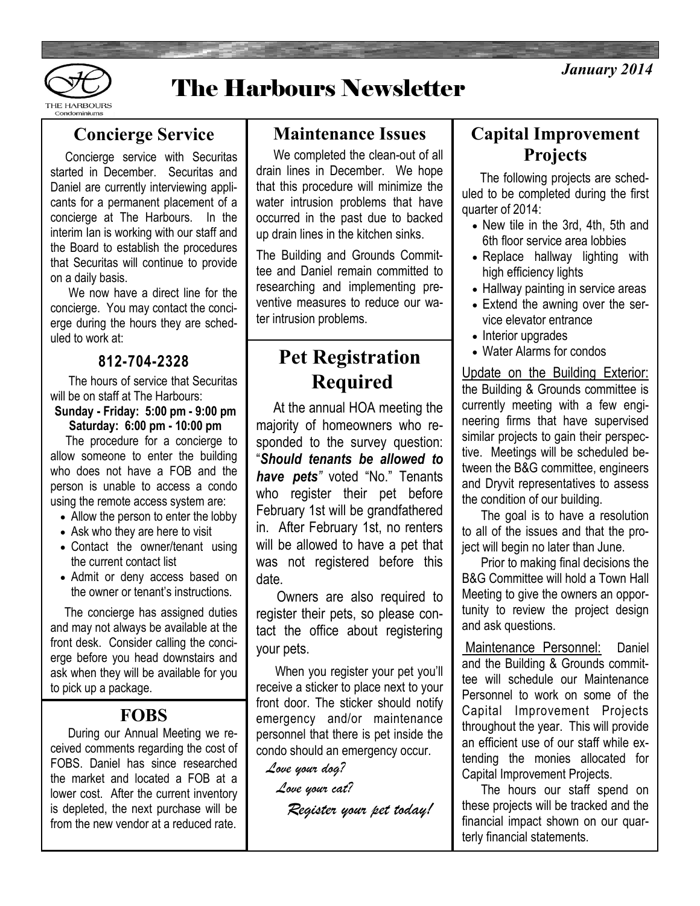



# The Harbours Newsletter

#### **Concierge Service**

 Concierge service with Securitas started in December. Securitas and Daniel are currently interviewing applicants for a permanent placement of a concierge at The Harbours. In the interim Ian is working with our staff and the Board to establish the procedures that Securitas will continue to provide on a daily basis.

 We now have a direct line for the concierge. You may contact the concierge during the hours they are scheduled to work at:

#### **812-704-2328**

 The hours of service that Securitas will be on staff at The Harbours:

#### **Sunday - Friday: 5:00 pm - 9:00 pm Saturday: 6:00 pm - 10:00 pm**

 The procedure for a concierge to allow someone to enter the building who does not have a FOB and the person is unable to access a condo using the remote access system are:

- Allow the person to enter the lobby
- Ask who they are here to visit
- Contact the owner/tenant using the current contact list
- Admit or deny access based on the owner or tenant's instructions.

The concierge has assigned duties and may not always be available at the front desk. Consider calling the concierge before you head downstairs and ask when they will be available for you to pick up a package.

#### **FOBS**

 During our Annual Meeting we received comments regarding the cost of FOBS. Daniel has since researched the market and located a FOB at a lower cost. After the current inventory is depleted, the next purchase will be from the new vendor at a reduced rate.

#### **Maintenance Issues**

We completed the clean-out of all drain lines in December. We hope that this procedure will minimize the water intrusion problems that have occurred in the past due to backed up drain lines in the kitchen sinks.

The Building and Grounds Committee and Daniel remain committed to researching and implementing preventive measures to reduce our water intrusion problems.

## **Pet Registration Required**

 At the annual HOA meeting the majority of homeowners who responded to the survey question: "*Should tenants be allowed to have pets"* voted "No." Tenants who register their pet before February 1st will be grandfathered in. After February 1st, no renters will be allowed to have a pet that was not registered before this date.

 Owners are also required to register their pets, so please contact the office about registering your pets.

 When you register your pet you'll receive a sticker to place next to your front door. The sticker should notify emergency and/or maintenance personnel that there is pet inside the condo should an emergency occur.

*Love your dog?* 

*Love your cat?*

 *Register your pet today!*

#### **Capital Improvement Projects**

 The following projects are scheduled to be completed during the first quarter of 2014:

- New tile in the 3rd, 4th, 5th and 6th floor service area lobbies
- Replace hallway lighting with high efficiency lights
- Hallway painting in service areas
- Extend the awning over the service elevator entrance
- Interior upgrades
- Water Alarms for condos

Update on the Building Exterior: the Building & Grounds committee is currently meeting with a few engineering firms that have supervised similar projects to gain their perspective. Meetings will be scheduled between the B&G committee, engineers and Dryvit representatives to assess the condition of our building.

 The goal is to have a resolution to all of the issues and that the project will begin no later than June.

 Prior to making final decisions the B&G Committee will hold a Town Hall Meeting to give the owners an opportunity to review the project design and ask questions.

Maintenance Personnel: Daniel and the Building & Grounds committee will schedule our Maintenance Personnel to work on some of the Capital Improvement Projects throughout the year. This will provide an efficient use of our staff while extending the monies allocated for Capital Improvement Projects.

 The hours our staff spend on these projects will be tracked and the financial impact shown on our quarterly financial statements.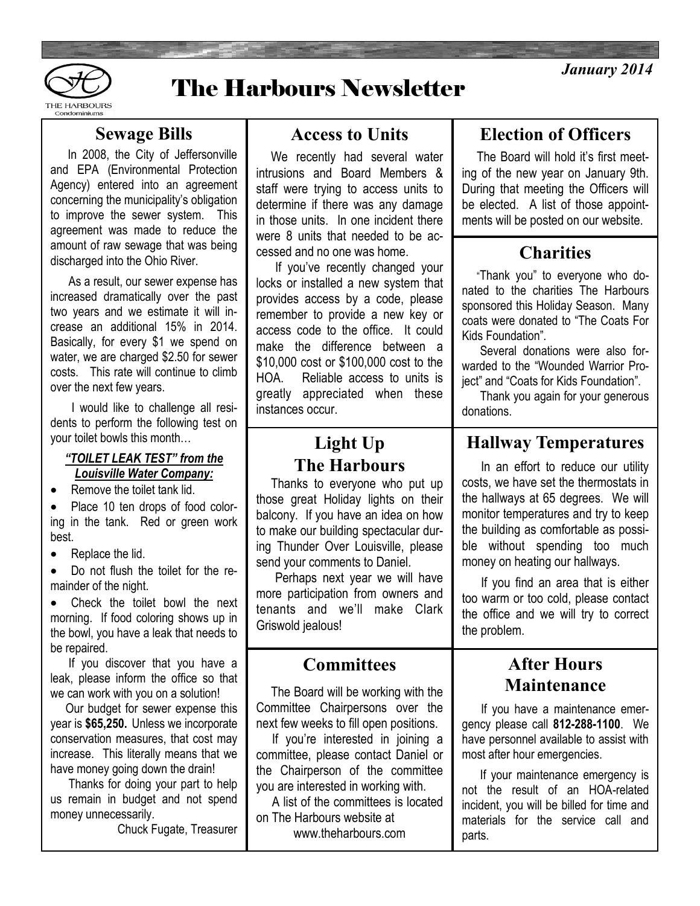



## The Harbours Newsletter

#### **Sewage Bills**

 In 2008, the City of Jeffersonville and EPA (Environmental Protection Agency) entered into an agreement concerning the municipality's obligation to improve the sewer system. This agreement was made to reduce the amount of raw sewage that was being discharged into the Ohio River.

 As a result, our sewer expense has increased dramatically over the past two years and we estimate it will increase an additional 15% in 2014. Basically, for every \$1 we spend on water, we are charged \$2.50 for sewer costs. This rate will continue to climb over the next few years.

 I would like to challenge all residents to perform the following test on your toilet bowls this month…

#### *"TOILET LEAK TEST" from the Louisville Water Company:*

• Remove the toilet tank lid.

• Place 10 ten drops of food coloring in the tank. Red or green work best.

• Replace the lid.

 Do not flush the toilet for the remainder of the night.

 Check the toilet bowl the next morning. If food coloring shows up in the bowl, you have a leak that needs to be repaired.

 If you discover that you have a leak, please inform the office so that we can work with you on a solution!

 Our budget for sewer expense this year is **\$65,250.** Unless we incorporate conservation measures, that cost may increase. This literally means that we have money going down the drain!

 Thanks for doing your part to help us remain in budget and not spend money unnecessarily.

Chuck Fugate, Treasurer

#### **Access to Units**

 We recently had several water intrusions and Board Members & staff were trying to access units to determine if there was any damage in those units. In one incident there were 8 units that needed to be accessed and no one was home.

 If you've recently changed your locks or installed a new system that provides access by a code, please remember to provide a new key or access code to the office. It could make the difference between a \$10,000 cost or \$100,000 cost to the HOA. Reliable access to units is greatly appreciated when these instances occur.

## **Light Up The Harbours**

 Thanks to everyone who put up those great Holiday lights on their balcony. If you have an idea on how to make our building spectacular during Thunder Over Louisville, please send your comments to Daniel.

 Perhaps next year we will have more participation from owners and tenants and we'll make Clark Griswold jealous!

#### **Committees**

 The Board will be working with the Committee Chairpersons over the next few weeks to fill open positions.

 If you're interested in joining a committee, please contact Daniel or the Chairperson of the committee you are interested in working with.

 A list of the committees is located on The Harbours website at

www.theharbours.com

## **Election of Officers**

 The Board will hold it's first meeting of the new year on January 9th. During that meeting the Officers will be elected. A list of those appointments will be posted on our website.

### **Charities**

 "Thank you" to everyone who donated to the charities The Harbours sponsored this Holiday Season. Many coats were donated to "The Coats For Kids Foundation".

 Several donations were also forwarded to the "Wounded Warrior Project" and "Coats for Kids Foundation".

 Thank you again for your generous donations.

### **Hallway Temperatures**

 In an effort to reduce our utility costs, we have set the thermostats in the hallways at 65 degrees. We will monitor temperatures and try to keep the building as comfortable as possible without spending too much money on heating our hallways.

 If you find an area that is either too warm or too cold, please contact the office and we will try to correct the problem.

#### **After Hours Maintenance**

 If you have a maintenance emergency please call **812-288-1100**. We have personnel available to assist with most after hour emergencies.

 If your maintenance emergency is not the result of an HOA-related incident, you will be billed for time and materials for the service call and parts.